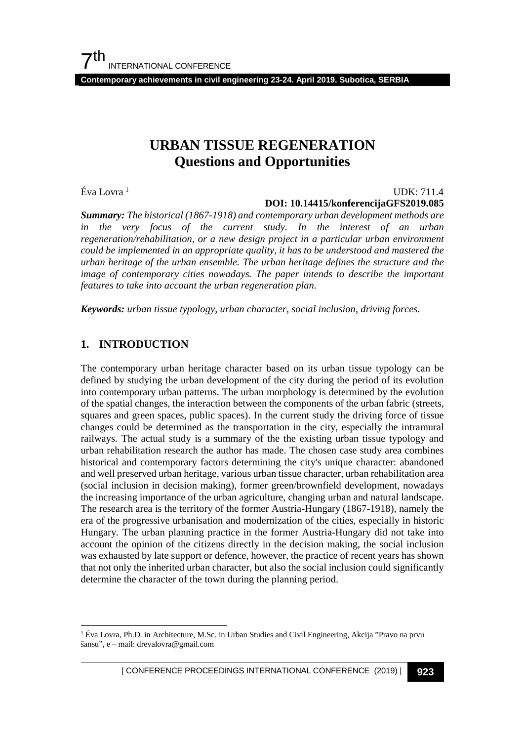$7<sup>th</sup>$ INTERNATIONAL CONFERENCE

**Contemporary achievements in civil engineering 23-24. April 2019. Subotica, SERBIA**

# **URBAN TISSUE REGENERATION Questions and Opportunities**

Éva Lovra [1](#page-0-0)

#### UDK: 711.4 **DOI: 10.14415/konferencijaGFS2019.085**

*Summary: The historical (1867-1918) and contemporary urban development methods are in the very focus of the current study. In the interest of an urban regeneration/rehabilitation, or a new design project in a particular urban environment could be implemented in an appropriate quality, it has to be understood and mastered the urban heritage of the urban ensemble. The urban heritage defines the structure and the image of contemporary cities nowadays. The paper intends to describe the important features to take into account the urban regeneration plan.* 

*Keywords: urban tissue typology, urban character, social inclusion, driving forces.*

### **1. INTRODUCTION**

The contemporary urban heritage character based on its urban tissue typology can be defined by studying the urban development of the city during the period of its evolution into contemporary urban patterns. The urban morphology is determined by the evolution of the spatial changes, the interaction between the components of the urban fabric (streets, squares and green spaces, public spaces). In the current study the driving force of tissue changes could be determined as the transportation in the city, especially the intramural railways. The actual study is a summary of the the existing urban tissue typology and urban rehabilitation research the author has made. The chosen case study area combines historical and contemporary factors determining the city's unique character: abandoned and well preserved urban heritage, various urban tissue character, urban rehabilitation area (social inclusion in decision making), former green/brownfield development, nowadays the increasing importance of the urban agriculture, changing urban and natural landscape. The research area is the territory of the former Austria-Hungary (1867-1918), namely the era of the progressive urbanisation and modernization of the cities, especially in historic Hungary. The urban planning practice in the former Austria-Hungary did not take into account the opinion of the citizens directly in the decision making, the social inclusion was exhausted by late support or defence, however, the practice of recent years has shown that not only the inherited urban character, but also the social inclusion could significantly determine the character of the town during the planning period.

<span id="page-0-0"></span> <sup>1</sup> Éva Lovra, Ph.D. in Architecture, M.Sc. in Urban Studies and Civil Engineering, Akcija "Pravo na prvu šansu", e – mail: drevalovra@gmail.com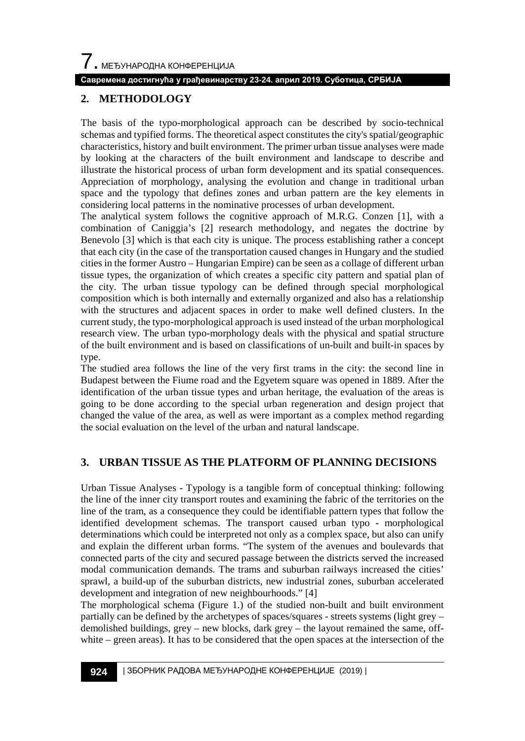### **Савремена достигнућа у грађевинарству 23-24. април 2019. Суботица, СРБИЈА**

# **2. METHODOLOGY**

The basis of the typo-morphological approach can be described by socio-technical schemas and typified forms. The theoretical aspect constitutes the city's spatial/geographic characteristics, history and built environment. The primer urban tissue analyses were made by looking at the characters of the built environment and landscape to describe and illustrate the historical process of urban form development and its spatial consequences. Appreciation of morphology, analysing the evolution and change in traditional urban space and the typology that defines zones and urban pattern are the key elements in considering local patterns in the nominative processes of urban development.

The analytical system follows the cognitive approach of M.R.G. Conzen [1], with a combination of Caniggia's [2] research methodology, and negates the doctrine by Benevolo [3] which is that each city is unique. The process establishing rather a concept that each city (in the case of the transportation caused changes in Hungary and the studied cities in the former Austro – Hungarian Empire) can be seen as a collage of different urban tissue types, the organization of which creates a specific city pattern and spatial plan of the city. The urban tissue typology can be defined through special morphological composition which is both internally and externally organized and also has a relationship with the structures and adjacent spaces in order to make well defined clusters. In the current study, the typo-morphological approach is used instead of the urban morphological research view. The urban typo-morphology deals with the physical and spatial structure of the built environment and is based on classifications of un-built and built-in spaces by type.

The studied area follows the line of the very first trams in the city: the second line in Budapest between the Fiume road and the Egyetem square was opened in 1889. After the identification of the urban tissue types and urban heritage, the evaluation of the areas is going to be done according to the special urban regeneration and design project that changed the value of the area, as well as were important as a complex method regarding the social evaluation on the level of the urban and natural landscape.

# **3. URBAN TISSUE AS THE PLATFORM OF PLANNING DECISIONS**

Urban Tissue Analyses - Typology is a tangible form of conceptual thinking: following the line of the inner city transport routes and examining the fabric of the territories on the line of the tram, as a consequence they could be identifiable pattern types that follow the identified development schemas. The transport caused urban typo - morphological determinations which could be interpreted not only as a complex space, but also can unify and explain the different urban forms. "The system of the avenues and boulevards that connected parts of the city and secured passage between the districts served the increased modal communication demands. The trams and suburban railways increased the cities' sprawl, a build-up of the suburban districts, new industrial zones, suburban accelerated development and integration of new neighbourhoods." [4]

The morphological schema (Figure 1.) of the studied non-built and built environment partially can be defined by the archetypes of spaces/squares - streets systems (light grey – demolished buildings, grey – new blocks, dark grey – the layout remained the same, offwhite – green areas). It has to be considered that the open spaces at the intersection of the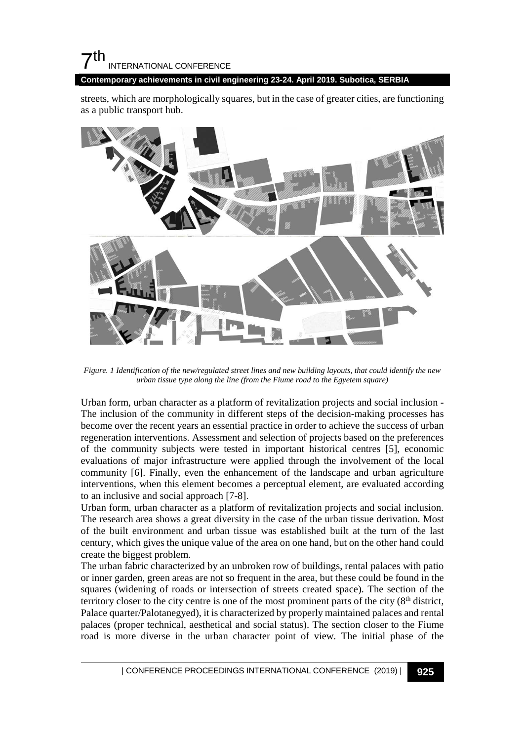# $7<sup>th</sup>$ INTERNATIONAL CONFERENCE

**Contemporary achievements in civil engineering 23-24. April 2019. Subotica, SERBIA**

streets, which are morphologically squares, but in the case of greater cities, are functioning as a public transport hub.



*Figure. 1 Identification of the new/regulated street lines and new building layouts, that could identify the new urban tissue type along the line (from the Fiume road to the Egyetem square)*

Urban form, urban character as a platform of revitalization projects and social inclusion - The inclusion of the community in different steps of the decision-making processes has become over the recent years an essential practice in order to achieve the success of urban regeneration interventions. Assessment and selection of projects based on the preferences of the community subjects were tested in important historical centres [5], economic evaluations of major infrastructure were applied through the involvement of the local community [6]. Finally, even the enhancement of the landscape and urban agriculture interventions, when this element becomes a perceptual element, are evaluated according to an inclusive and social approach [7-8].

Urban form, urban character as a platform of revitalization projects and social inclusion. The research area shows a great diversity in the case of the urban tissue derivation. Most of the built environment and urban tissue was established built at the turn of the last century, which gives the unique value of the area on one hand, but on the other hand could create the biggest problem.

The urban fabric characterized by an unbroken row of buildings, rental palaces with patio or inner garden, green areas are not so frequent in the area, but these could be found in the squares (widening of roads or intersection of streets created space). The section of the territory closer to the city centre is one of the most prominent parts of the city  $(8<sup>th</sup>$  district, Palace quarter/Palotanegyed), it is characterized by properly maintained palaces and rental palaces (proper technical, aesthetical and social status). The section closer to the Fiume road is more diverse in the urban character point of view. The initial phase of the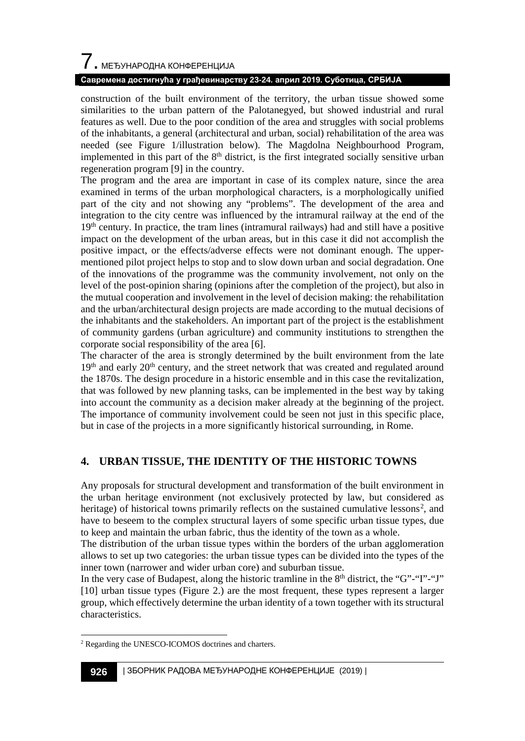# $\overline{\phantom{a}}$ . МЕЂУНАРОДНА КОНФЕРЕНЦИЈА

### **Савремена достигнућа у грађевинарству 23-24. април 2019. Суботица, СРБИЈА**

construction of the built environment of the territory, the urban tissue showed some similarities to the urban pattern of the Palotanegyed, but showed industrial and rural features as well. Due to the poor condition of the area and struggles with social problems of the inhabitants, a general (architectural and urban, social) rehabilitation of the area was needed (see Figure 1/illustration below). The Magdolna Neighbourhood Program, implemented in this part of the  $8<sup>th</sup>$  district, is the first integrated socially sensitive urban regeneration program [9] in the country.

The program and the area are important in case of its complex nature, since the area examined in terms of the urban morphological characters, is a morphologically unified part of the city and not showing any "problems". The development of the area and integration to the city centre was influenced by the intramural railway at the end of the  $19<sup>th</sup>$  century. In practice, the tram lines (intramural railways) had and still have a positive impact on the development of the urban areas, but in this case it did not accomplish the positive impact, or the effects/adverse effects were not dominant enough. The uppermentioned pilot project helps to stop and to slow down urban and social degradation. One of the innovations of the programme was the community involvement, not only on the level of the post-opinion sharing (opinions after the completion of the project), but also in the mutual cooperation and involvement in the level of decision making: the rehabilitation and the urban/architectural design projects are made according to the mutual decisions of the inhabitants and the stakeholders. An important part of the project is the establishment of community gardens (urban agriculture) and community institutions to strengthen the corporate social responsibility of the area [6].

The character of the area is strongly determined by the built environment from the late  $19<sup>th</sup>$  and early 20<sup>th</sup> century, and the street network that was created and regulated around the 1870s. The design procedure in a historic ensemble and in this case the revitalization, that was followed by new planning tasks, can be implemented in the best way by taking into account the community as a decision maker already at the beginning of the project. The importance of community involvement could be seen not just in this specific place, but in case of the projects in a more significantly historical surrounding, in Rome.

# **4. URBAN TISSUE, THE IDENTITY OF THE HISTORIC TOWNS**

Any proposals for structural development and transformation of the built environment in the urban heritage environment (not exclusively protected by law, but considered as heritage) of historical towns primarily reflects on the sustained cumulative lessons<sup>[2](#page-3-0)</sup>, and have to beseem to the complex structural layers of some specific urban tissue types, due to keep and maintain the urban fabric, thus the identity of the town as a whole.

The distribution of the urban tissue types within the borders of the urban agglomeration allows to set up two categories: the urban tissue types can be divided into the types of the inner town (narrower and wider urban core) and suburban tissue.

In the very case of Budapest, along the historic tramline in the  $8<sup>th</sup>$  district, the "G"-"I"-"J" [10] urban tissue types (Figure 2.) are the most frequent, these types represent a larger group, which effectively determine the urban identity of a town together with its structural characteristics.

<span id="page-3-0"></span> <sup>2</sup> Regarding the UNESCO-ICOMOS doctrines and charters.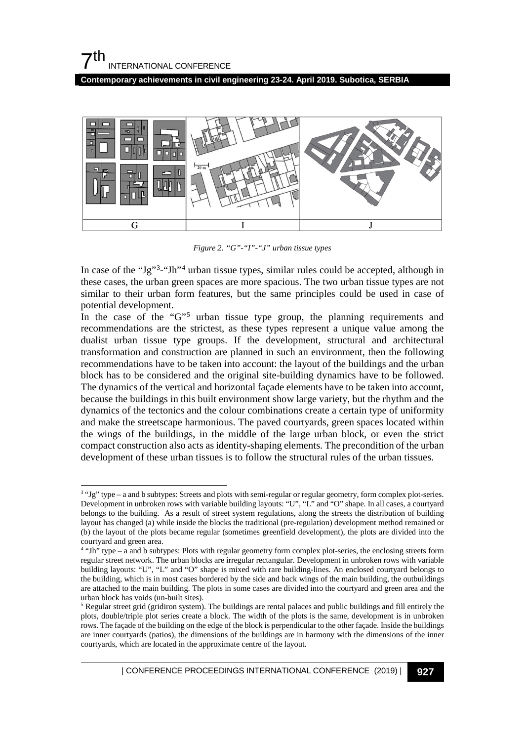**Contemporary achievements in civil engineering 23-24. April 2019. Subotica, SERBIA**



*Figure 2. "G"-"I"-"J" urban tissue types*

In case of the "Jg"<sup>[3](#page-4-0)</sup>-"Jh"<sup>[4](#page-4-1)</sup> urban tissue types, similar rules could be accepted, although in these cases, the urban green spaces are more spacious. The two urban tissue types are not similar to their urban form features, but the same principles could be used in case of potential development.

In the case of the "G"<sup>[5](#page-4-2)</sup> urban tissue type group, the planning requirements and recommendations are the strictest, as these types represent a unique value among the dualist urban tissue type groups. If the development, structural and architectural transformation and construction are planned in such an environment, then the following recommendations have to be taken into account: the layout of the buildings and the urban block has to be considered and the original site-building dynamics have to be followed. The dynamics of the vertical and horizontal façade elements have to be taken into account, because the buildings in this built environment show large variety, but the rhythm and the dynamics of the tectonics and the colour combinations create a certain type of uniformity and make the streetscape harmonious. The paved courtyards, green spaces located within the wings of the buildings, in the middle of the large urban block, or even the strict compact construction also acts as identity-shaping elements. The precondition of the urban development of these urban tissues is to follow the structural rules of the urban tissues.

<span id="page-4-0"></span> <sup>3</sup> "Jg" type – a and b subtypes: Streets and plots with semi-regular or regular geometry, form complex plot-series. Development in unbroken rows with variable building layouts: "U", "L" and "O" shape. In all cases, a courtyard belongs to the building. As a result of street system regulations, along the streets the distribution of building layout has changed (a) while inside the blocks the traditional (pre-regulation) development method remained or (b) the layout of the plots became regular (sometimes greenfield development), the plots are divided into the courtyard and green area.

<span id="page-4-1"></span><sup>4</sup> "Jh" type – a and b subtypes: Plots with regular geometry form complex plot-series, the enclosing streets form regular street network. The urban blocks are irregular rectangular. Development in unbroken rows with variable building layouts: "U", "L" and "O" shape is mixed with rare building-lines. An enclosed courtyard belongs to the building, which is in most cases bordered by the side and back wings of the main building, the outbuildings are attached to the main building. The plots in some cases are divided into the courtyard and green area and the urban block has voids (un-built sites).

<span id="page-4-2"></span><sup>5</sup> Regular street grid (gridiron system). The buildings are rental palaces and public buildings and fill entirely the plots, double/triple plot series create a block. The width of the plots is the same, development is in unbroken rows. The façade of the building on the edge of the block is perpendicular to the other façade. Inside the buildings are inner courtyards (patios), the dimensions of the buildings are in harmony with the dimensions of the inner courtyards, which are located in the approximate centre of the layout.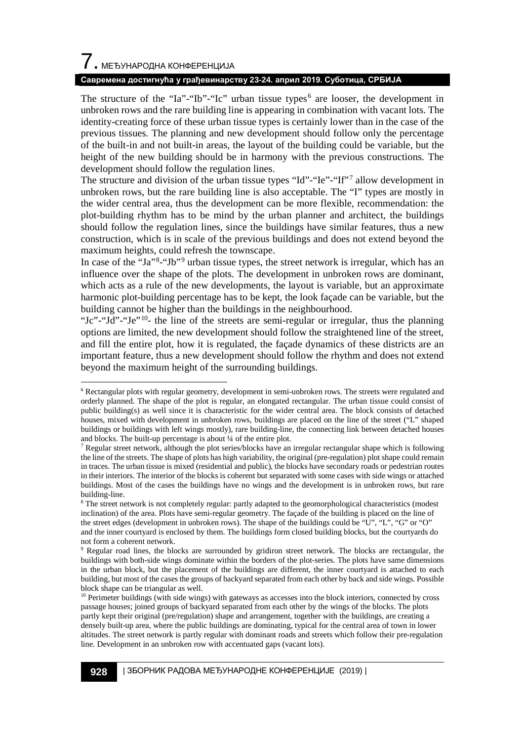# $\overline{7}$ . МЕЂУНАРОДНА КОНФЕРЕНЦИЈА

### **Савремена достигнућа у грађевинарству 23-24. април 2019. Суботица, СРБИЈА**

The structure of the "Ia"-"Ib"-"Ic" urban tissue types<sup>[6](#page-5-0)</sup> are looser, the development in unbroken rows and the rare building line is appearing in combination with vacant lots. The identity-creating force of these urban tissue types is certainly lower than in the case of the previous tissues. The planning and new development should follow only the percentage of the built-in and not built-in areas, the layout of the building could be variable, but the height of the new building should be in harmony with the previous constructions. The development should follow the regulation lines.

The structure and division of the urban tissue types "Id"-"Ie"-"If"<sup>[7](#page-5-1)</sup> allow development in unbroken rows, but the rare building line is also acceptable. The "I" types are mostly in the wider central area, thus the development can be more flexible, recommendation: the plot-building rhythm has to be mind by the urban planner and architect, the buildings should follow the regulation lines, since the buildings have similar features, thus a new construction, which is in scale of the previous buildings and does not extend beyond the maximum heights, could refresh the townscape.

In case of the "Ja"<sup>[8](#page-5-2)</sup>-"Jb"<sup>[9](#page-5-3)</sup> urban tissue types, the street network is irregular, which has an influence over the shape of the plots. The development in unbroken rows are dominant, which acts as a rule of the new developments, the layout is variable, but an approximate harmonic plot-building percentage has to be kept, the look façade can be variable, but the building cannot be higher than the buildings in the neighbourhood.

"Jc"-"Jd"-"Je"[10](#page-5-4)- the line of the streets are semi-regular or irregular, thus the planning options are limited, the new development should follow the straightened line of the street, and fill the entire plot, how it is regulated, the façade dynamics of these districts are an important feature, thus a new development should follow the rhythm and does not extend beyond the maximum height of the surrounding buildings.

<span id="page-5-0"></span> <sup>6</sup> Rectangular plots with regular geometry, development in semi-unbroken rows. The streets were regulated and orderly planned. The shape of the plot is regular, an elongated rectangular. The urban tissue could consist of public building(s) as well since it is characteristic for the wider central area. The block consists of detached houses, mixed with development in unbroken rows, buildings are placed on the line of the street ("L" shaped buildings or buildings with left wings mostly), rare building-line, the connecting link between detached houses and blocks. The built-up percentage is about ¼ of the entire plot.

<span id="page-5-1"></span> $<sup>7</sup>$  Regular street network, although the plot series/blocks have an irregular rectangular shape which is following</sup> the line of the streets. The shape of plots has high variability, the original (pre-regulation) plot shape could remain in traces. The urban tissue is mixed (residential and public), the blocks have secondary roads or pedestrian routes in their interiors. The interior of the blocks is coherent but separated with some cases with side wings or attached buildings. Most of the cases the buildings have no wings and the development is in unbroken rows, but rare

<span id="page-5-2"></span> $8$  The street network is not completely regular: partly adapted to the geomorphological characteristics (modest inclination) of the area. Plots have semi-regular geometry. The façade of the building is placed on the line of the street edges (development in unbroken rows). The shape of the buildings could be "U", "L", "G" or "O" and the inner courtyard is enclosed by them. The buildings form closed building blocks, but the courtyards do not form a coherent network.

<span id="page-5-3"></span>Regular road lines, the blocks are surrounded by gridiron street network. The blocks are rectangular, the buildings with both-side wings dominate within the borders of the plot-series. The plots have same dimensions in the urban block, but the placement of the buildings are different, the inner courtyard is attached to each building, but most of the cases the groups of backyard separated from each other by back and side wings. Possible block shape can be triangular as well.

<span id="page-5-4"></span><sup>&</sup>lt;sup>10</sup> Perimeter buildings (with side wings) with gateways as accesses into the block interiors, connected by cross passage houses; joined groups of backyard separated from each other by the wings of the blocks. The plots partly kept their original (pre/regulation) shape and arrangement, together with the buildings, are creating a densely built-up area, where the public buildings are dominating, typical for the central area of town in lower altitudes. The street network is partly regular with dominant roads and streets which follow their pre-regulation line. Development in an unbroken row with accentuated gaps (vacant lots).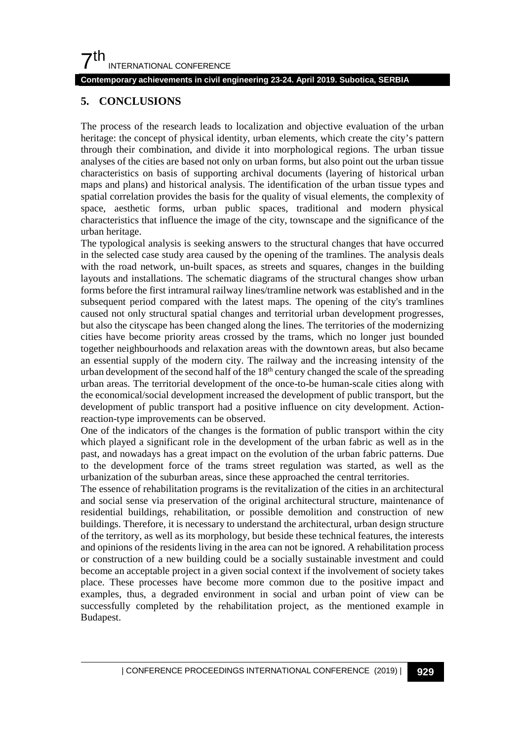# $7<sup>th</sup>$ INTERNATIONAL CONFERENCE

### **Contemporary achievements in civil engineering 23-24. April 2019. Subotica, SERBIA**

### **5. CONCLUSIONS**

The process of the research leads to localization and objective evaluation of the urban heritage: the concept of physical identity, urban elements, which create the city's pattern through their combination, and divide it into morphological regions. The urban tissue analyses of the cities are based not only on urban forms, but also point out the urban tissue characteristics on basis of supporting archival documents (layering of historical urban maps and plans) and historical analysis. The identification of the urban tissue types and spatial correlation provides the basis for the quality of visual elements, the complexity of space, aesthetic forms, urban public spaces, traditional and modern physical characteristics that influence the image of the city, townscape and the significance of the urban heritage.

The typological analysis is seeking answers to the structural changes that have occurred in the selected case study area caused by the opening of the tramlines. The analysis deals with the road network, un-built spaces, as streets and squares, changes in the building layouts and installations. The schematic diagrams of the structural changes show urban forms before the first intramural railway lines/tramline network was established and in the subsequent period compared with the latest maps. The opening of the city's tramlines caused not only structural spatial changes and territorial urban development progresses, but also the cityscape has been changed along the lines. The territories of the modernizing cities have become priority areas crossed by the trams, which no longer just bounded together neighbourhoods and relaxation areas with the downtown areas, but also became an essential supply of the modern city. The railway and the increasing intensity of the urban development of the second half of the  $18<sup>th</sup>$  century changed the scale of the spreading urban areas. The territorial development of the once-to-be human-scale cities along with the economical/social development increased the development of public transport, but the development of public transport had a positive influence on city development. Actionreaction-type improvements can be observed.

One of the indicators of the changes is the formation of public transport within the city which played a significant role in the development of the urban fabric as well as in the past, and nowadays has a great impact on the evolution of the urban fabric patterns. Due to the development force of the trams street regulation was started, as well as the urbanization of the suburban areas, since these approached the central territories.

The essence of rehabilitation programs is the revitalization of the cities in an architectural and social sense via preservation of the original architectural structure, maintenance of residential buildings, rehabilitation, or possible demolition and construction of new buildings. Therefore, it is necessary to understand the architectural, urban design structure of the territory, as well as its morphology, but beside these technical features, the interests and opinions of the residents living in the area can not be ignored. A rehabilitation process or construction of a new building could be a socially sustainable investment and could become an acceptable project in a given social context if the involvement of society takes place. These processes have become more common due to the positive impact and examples, thus, a degraded environment in social and urban point of view can be successfully completed by the rehabilitation project, as the mentioned example in Budapest.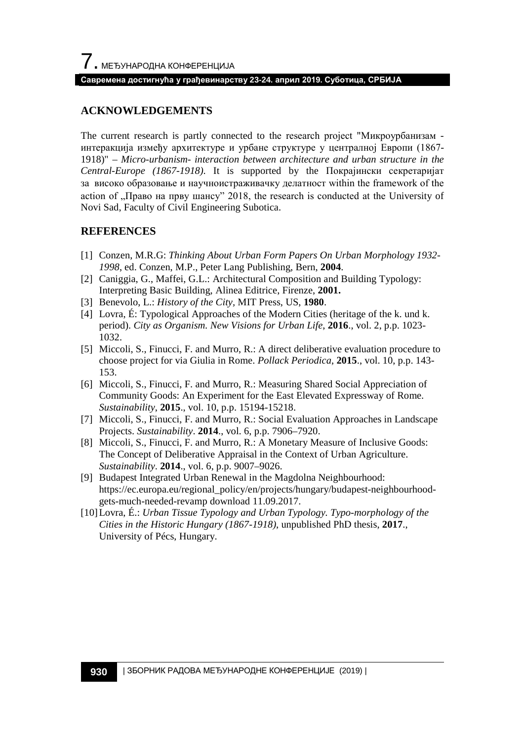#### **Савремена достигнућа у грађевинарству 23-24. април 2019. Суботица, СРБИЈА**

# **ACKNOWLEDGEMENTS**

The current research is partly connected to the research project "Микроурбанизам интеракција између архитектуре и урбане структуре у централној Европи (1867- 1918)" – *Micro-urbanism- interaction between architecture and urban structure in the Central-Europe (1867-1918)*. It is supported by the Покрајински секретаријат за високо образовање и научноистраживачку делатност within the framework of the action of "Право на прву шансу" 2018, the research is conducted at the University of Novi Sad, Faculty of Civil Engineering Subotica.

### **REFERENCES**

- [1] Conzen, M.R.G: *Thinking About Urban Form Papers On Urban Morphology 1932- 1998*, ed. Conzen, M.P., Peter Lang Publishing, Bern, **2004**.
- [2] Caniggia, G., Maffei, G.L.: Architectural Composition and Building Typology: Interpreting Basic Building, Alinea Editrice, Firenze, **2001.**
- [3] Benevolo, L.: *History of the City,* MIT Press, US, **1980**.
- [4] Lovra, É: Typological Approaches of the Modern Cities (heritage of the k. und k. period). *City as Organism. New Visions for Urban Life*, **2016**., vol. 2, p.p. 1023- 1032.
- [5] Miccoli, S., Finucci, F. and Murro, R.: A direct deliberative evaluation procedure to choose project for via Giulia in Rome. *Pollack Periodica*, **2015**., vol. 10, p.p. 143- 153.
- [6] Miccoli, S., Finucci, F. and Murro, R.: Measuring Shared Social Appreciation of Community Goods: An Experiment for the East Elevated Expressway of Rome. *Sustainability*, **2015**., vol. 10, p.p. 15194-15218.
- [7] Miccoli, S., Finucci, F. and Murro, R.: Social Evaluation Approaches in Landscape Projects. *Sustainability*. **2014**., vol. 6, p.p. 7906–7920.
- [8] Miccoli, S., Finucci, F. and Murro, R.: A Monetary Measure of Inclusive Goods: The Concept of Deliberative Appraisal in the Context of Urban Agriculture. *Sustainability*. **2014**., vol. 6, p.p. 9007–9026.
- [9] Budapest Integrated Urban Renewal in the Magdolna Neighbourhood: https://ec.europa.eu/regional\_policy/en/projects/hungary/budapest-neighbourhoodgets-much-needed-revamp download 11.09.2017.
- [10]Lovra, É.: *Urban Tissue Typology and Urban Typology. Typo-morphology of the Cities in the Historic Hungary (1867-1918)*, unpublished PhD thesis, **2017**., University of Pécs, Hungary.